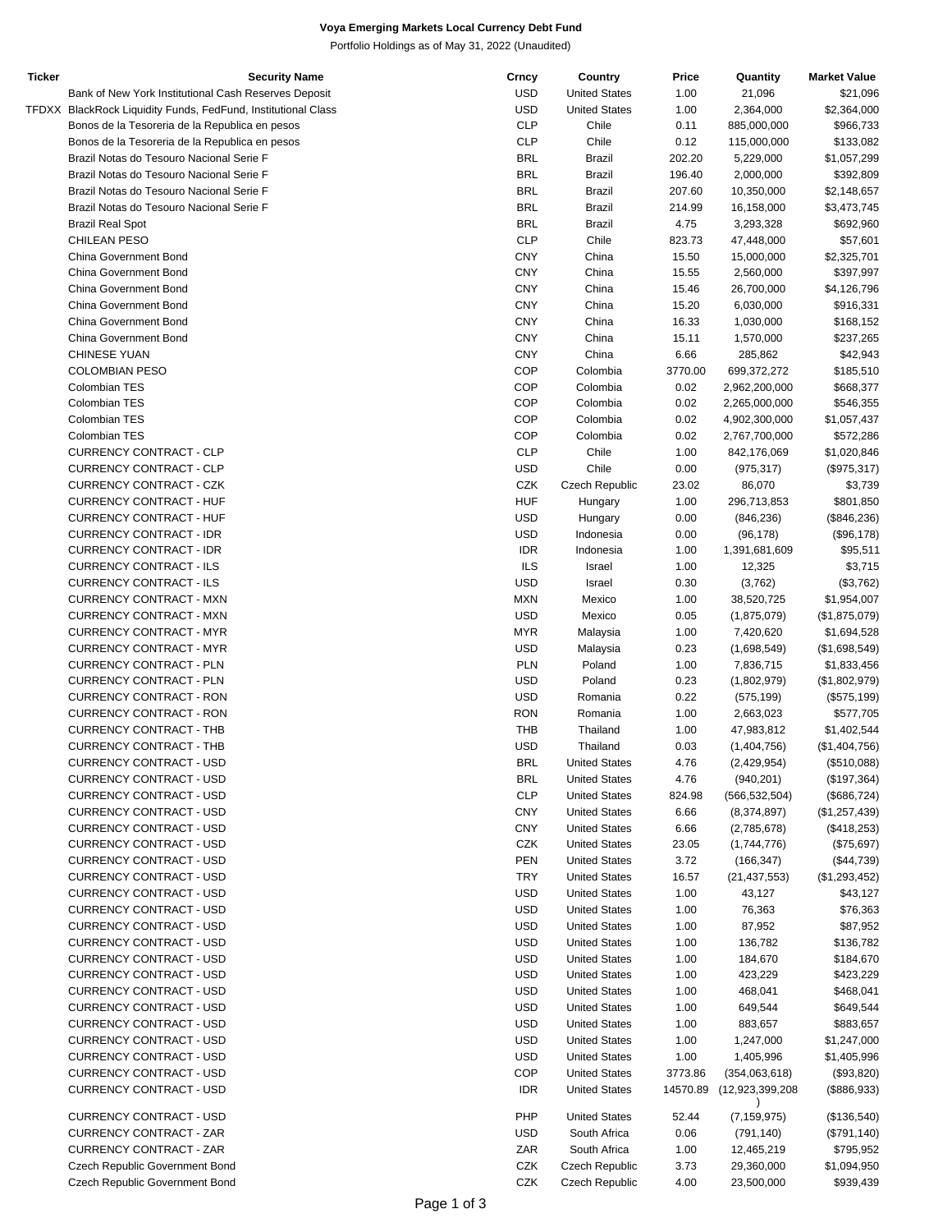# **Voya Emerging Markets Local Currency Debt Fund**

Portfolio Holdings as of May 31, 2022 (Unaudited)

| Ticker | <b>Security Name</b>                                          | Crncy      | Country              | Price    | Quantity        | <b>Market Value</b> |
|--------|---------------------------------------------------------------|------------|----------------------|----------|-----------------|---------------------|
|        | Bank of New York Institutional Cash Reserves Deposit          | <b>USD</b> | <b>United States</b> | 1.00     | 21,096          | \$21,096            |
|        | TFDXX BlackRock Liquidity Funds, FedFund, Institutional Class | <b>USD</b> | <b>United States</b> | 1.00     | 2,364,000       | \$2,364,000         |
|        | Bonos de la Tesoreria de la Republica en pesos                | <b>CLP</b> | Chile                | 0.11     | 885,000,000     | \$966,733           |
|        | Bonos de la Tesoreria de la Republica en pesos                | <b>CLP</b> | Chile                | 0.12     | 115,000,000     | \$133,082           |
|        |                                                               | <b>BRL</b> |                      |          |                 |                     |
|        | Brazil Notas do Tesouro Nacional Serie F                      |            | <b>Brazil</b>        | 202.20   | 5,229,000       | \$1,057,299         |
|        | Brazil Notas do Tesouro Nacional Serie F                      | <b>BRL</b> | <b>Brazil</b>        | 196.40   | 2,000,000       | \$392,809           |
|        | Brazil Notas do Tesouro Nacional Serie F                      | <b>BRL</b> | <b>Brazil</b>        | 207.60   | 10,350,000      | \$2,148,657         |
|        | Brazil Notas do Tesouro Nacional Serie F                      | <b>BRL</b> | <b>Brazil</b>        | 214.99   | 16,158,000      | \$3,473,745         |
|        | <b>Brazil Real Spot</b>                                       | <b>BRL</b> | <b>Brazil</b>        | 4.75     | 3,293,328       | \$692,960           |
|        | <b>CHILEAN PESO</b>                                           | <b>CLP</b> | Chile                | 823.73   | 47,448,000      | \$57,601            |
|        | China Government Bond                                         | <b>CNY</b> | China                | 15.50    | 15,000,000      | \$2,325,701         |
|        |                                                               |            |                      |          |                 |                     |
|        | China Government Bond                                         | <b>CNY</b> | China                | 15.55    | 2,560,000       | \$397,997           |
|        | China Government Bond                                         | <b>CNY</b> | China                | 15.46    | 26,700,000      | \$4,126,796         |
|        | China Government Bond                                         | <b>CNY</b> | China                | 15.20    | 6,030,000       | \$916,331           |
|        | China Government Bond                                         | <b>CNY</b> | China                | 16.33    | 1,030,000       | \$168,152           |
|        | China Government Bond                                         | <b>CNY</b> | China                | 15.11    | 1,570,000       | \$237,265           |
|        | <b>CHINESE YUAN</b>                                           | <b>CNY</b> | China                | 6.66     | 285,862         | \$42,943            |
|        | <b>COLOMBIAN PESO</b>                                         | <b>COP</b> | Colombia             | 3770.00  | 699,372,272     | \$185,510           |
|        |                                                               |            |                      |          |                 |                     |
|        | Colombian TES                                                 | <b>COP</b> | Colombia             | 0.02     | 2,962,200,000   | \$668,377           |
|        | Colombian TES                                                 | <b>COP</b> | Colombia             | 0.02     | 2,265,000,000   | \$546,355           |
|        | Colombian TES                                                 | COP        | Colombia             | 0.02     | 4,902,300,000   | \$1,057,437         |
|        | Colombian TES                                                 | COP        | Colombia             | 0.02     | 2,767,700,000   | \$572,286           |
|        | <b>CURRENCY CONTRACT - CLP</b>                                | <b>CLP</b> | Chile                | 1.00     | 842,176,069     | \$1,020,846         |
|        | <b>CURRENCY CONTRACT - CLP</b>                                | <b>USD</b> | Chile                | 0.00     | (975, 317)      | (\$975,317)         |
|        |                                                               | CZK        |                      |          |                 |                     |
|        | <b>CURRENCY CONTRACT - CZK</b>                                |            | Czech Republic       | 23.02    | 86,070          | \$3,739             |
|        | CURRENCY CONTRACT - HUF                                       | <b>HUF</b> | Hungary              | 1.00     | 296,713,853     | \$801,850           |
|        | <b>CURRENCY CONTRACT - HUF</b>                                | <b>USD</b> | Hungary              | 0.00     | (846, 236)      | (\$846,236)         |
|        | <b>CURRENCY CONTRACT - IDR</b>                                | <b>USD</b> | Indonesia            | 0.00     | (96, 178)       | (\$96,178)          |
|        | <b>CURRENCY CONTRACT - IDR</b>                                | <b>IDR</b> | Indonesia            | 1.00     | 1,391,681,609   | \$95,511            |
|        | <b>CURRENCY CONTRACT - ILS</b>                                | <b>ILS</b> | Israel               | 1.00     | 12,325          | \$3,715             |
|        | <b>CURRENCY CONTRACT - ILS</b>                                | <b>USD</b> | Israel               | 0.30     | (3,762)         |                     |
|        |                                                               |            |                      |          |                 | (\$3,762)           |
|        | <b>CURRENCY CONTRACT - MXN</b>                                | <b>MXN</b> | Mexico               | 1.00     | 38,520,725      | \$1,954,007         |
|        | <b>CURRENCY CONTRACT - MXN</b>                                | <b>USD</b> | Mexico               | 0.05     | (1,875,079)     | (\$1,875,079)       |
|        | <b>CURRENCY CONTRACT - MYR</b>                                | <b>MYR</b> | Malaysia             | 1.00     | 7,420,620       | \$1,694,528         |
|        | <b>CURRENCY CONTRACT - MYR</b>                                | <b>USD</b> | Malaysia             | 0.23     | (1,698,549)     | (\$1,698,549)       |
|        | <b>CURRENCY CONTRACT - PLN</b>                                | <b>PLN</b> | Poland               | 1.00     | 7,836,715       | \$1,833,456         |
|        | <b>CURRENCY CONTRACT - PLN</b>                                | <b>USD</b> | Poland               | 0.23     | (1,802,979)     | (\$1,802,979)       |
|        |                                                               |            |                      |          |                 |                     |
|        | <b>CURRENCY CONTRACT - RON</b>                                | <b>USD</b> | Romania              | 0.22     | (575, 199)      | (\$575,199)         |
|        | <b>CURRENCY CONTRACT - RON</b>                                | <b>RON</b> | Romania              | 1.00     | 2,663,023       | \$577,705           |
|        | CURRENCY CONTRACT - THB                                       | <b>THB</b> | Thailand             | 1.00     | 47,983,812      | \$1,402,544         |
|        | CURRENCY CONTRACT - THB                                       | <b>USD</b> | Thailand             | 0.03     | (1,404,756)     | (\$1,404,756)       |
|        | <b>CURRENCY CONTRACT - USD</b>                                | <b>BRL</b> | <b>United States</b> | 4.76     | (2,429,954)     | (\$510,088)         |
|        | CURRENCY CONTRACT - USD                                       | <b>BRL</b> | <b>United States</b> | 4.76     | (940, 201)      | (\$197,364)         |
|        |                                                               |            |                      |          |                 |                     |
|        | CURRENCY CONTRACT - USD                                       | <b>CLP</b> | <b>United States</b> | 824.98   | (566, 532, 504) | (\$686,724)         |
|        | CURRENCY CONTRACT - USD                                       | <b>CNY</b> | <b>United States</b> | 6.66     | (8,374,897)     | (\$1,257,439)       |
|        | CURRENCY CONTRACT - USD                                       | <b>CNY</b> | <b>United States</b> | 6.66     | (2,785,678)     | (\$418,253)         |
|        | CURRENCY CONTRACT - USD                                       | CZK        | <b>United States</b> | 23.05    | (1,744,776)     | (\$75,697)          |
|        | CURRENCY CONTRACT - USD                                       | <b>PEN</b> | <b>United States</b> | 3.72     | (166, 347)      | (\$44,739)          |
|        | CURRENCY CONTRACT - USD                                       | <b>TRY</b> | <b>United States</b> | 16.57    | (21, 437, 553)  | (\$1,293,452)       |
|        | CURRENCY CONTRACT - USD                                       | USD        | <b>United States</b> | 1.00     | 43,127          | \$43,127            |
|        |                                                               |            |                      |          |                 |                     |
|        | CURRENCY CONTRACT - USD                                       | <b>USD</b> | <b>United States</b> | 1.00     | 76,363          | \$76,363            |
|        | CURRENCY CONTRACT - USD                                       | USD        | <b>United States</b> | 1.00     | 87,952          | \$87,952            |
|        | <b>CURRENCY CONTRACT - USD</b>                                | <b>USD</b> | <b>United States</b> | 1.00     | 136,782         | \$136,782           |
|        | CURRENCY CONTRACT - USD                                       | USD        | <b>United States</b> | 1.00     | 184,670         | \$184,670           |
|        | CURRENCY CONTRACT - USD                                       | <b>USD</b> | <b>United States</b> | 1.00     | 423,229         | \$423,229           |
|        |                                                               | <b>USD</b> |                      |          |                 |                     |
|        | CURRENCY CONTRACT - USD                                       |            | <b>United States</b> | 1.00     | 468,041         | \$468,041           |
|        | CURRENCY CONTRACT - USD                                       | USD        | <b>United States</b> | 1.00     | 649,544         | \$649,544           |
|        | CURRENCY CONTRACT - USD                                       | USD        | <b>United States</b> | 1.00     | 883,657         | \$883,657           |
|        | CURRENCY CONTRACT - USD                                       | <b>USD</b> | <b>United States</b> | 1.00     | 1,247,000       | \$1,247,000         |
|        | CURRENCY CONTRACT - USD                                       | USD        | <b>United States</b> | 1.00     | 1,405,996       | \$1,405,996         |
|        | CURRENCY CONTRACT - USD                                       | <b>COP</b> | <b>United States</b> | 3773.86  | (354,063,618)   | (\$93,820)          |
|        | CURRENCY CONTRACT - USD                                       | <b>IDR</b> | <b>United States</b> | 14570.89 | (12,923,399,208 |                     |
|        |                                                               |            |                      |          |                 | (\$886,933)         |
|        | CURRENCY CONTRACT - USD                                       | PHP        | <b>United States</b> | 52.44    | (7, 159, 975)   | (\$136,540)         |
|        | CURRENCY CONTRACT - ZAR                                       | USD        | South Africa         | 0.06     | (791, 140)      | (\$791, 140)        |
|        | <b>CURRENCY CONTRACT - ZAR</b>                                | ZAR        | South Africa         | 1.00     | 12,465,219      | \$795,952           |
|        | Czech Republic Government Bond                                | CZK        | Czech Republic       | 3.73     | 29,360,000      | \$1,094,950         |
|        |                                                               |            |                      |          |                 |                     |
|        | Czech Republic Government Bond                                | CZK        | Czech Republic       | 4.00     | 23,500,000      | \$939,439           |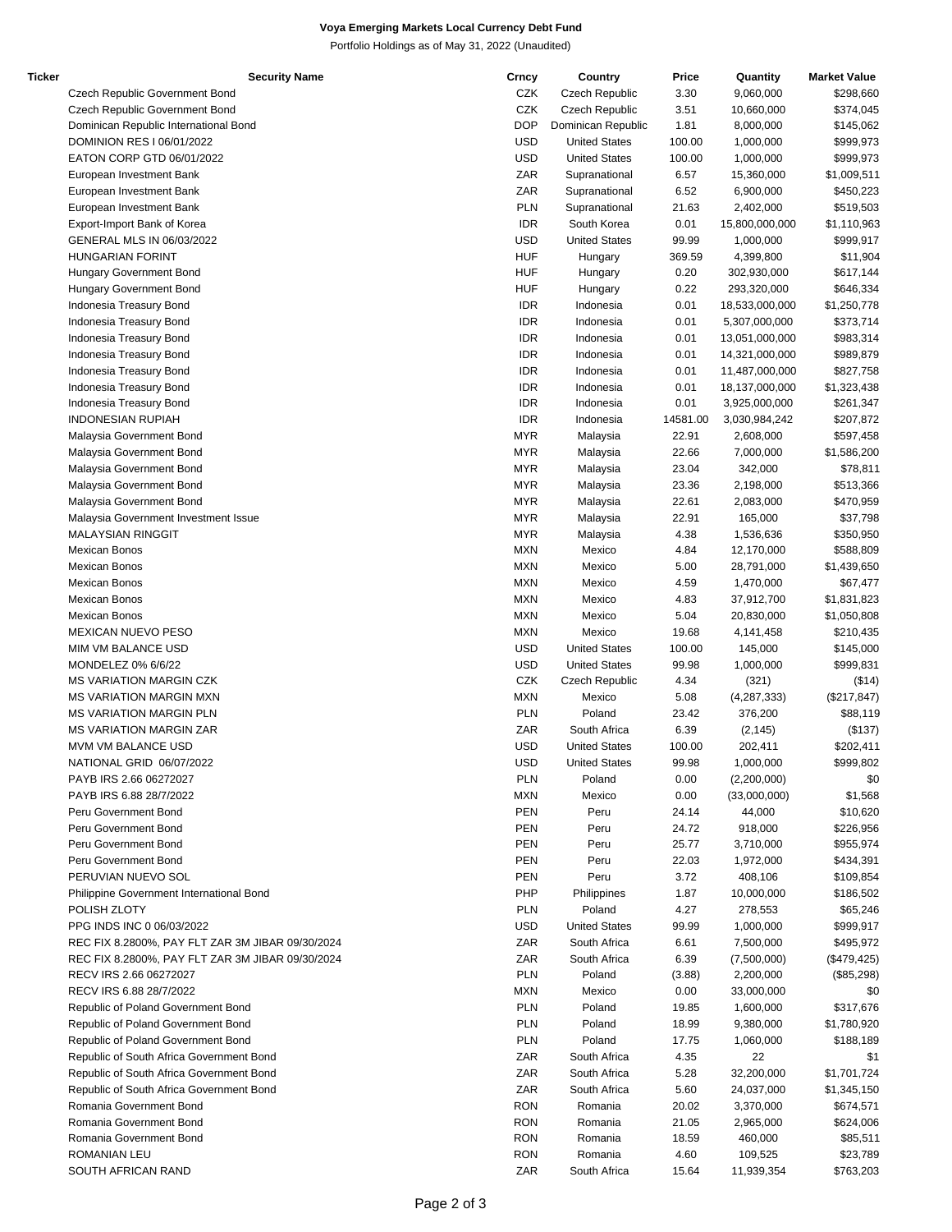# **Voya Emerging Markets Local Currency Debt Fund**

Portfolio Holdings as of May 31, 2022 (Unaudited)

| Ticker |                                                  | <b>Security Name</b> | Crncy      | Country              | Price    | Quantity       | <b>Market Value</b> |
|--------|--------------------------------------------------|----------------------|------------|----------------------|----------|----------------|---------------------|
|        | Czech Republic Government Bond                   |                      | CZK        | Czech Republic       | 3.30     | 9,060,000      | \$298,660           |
|        | Czech Republic Government Bond                   |                      | <b>CZK</b> | Czech Republic       | 3.51     | 10,660,000     | \$374,045           |
|        | Dominican Republic International Bond            |                      | <b>DOP</b> | Dominican Republic   | 1.81     | 8,000,000      | \$145,062           |
|        | DOMINION RES I 06/01/2022                        |                      | <b>USD</b> | <b>United States</b> | 100.00   | 1,000,000      | \$999,973           |
|        | EATON CORP GTD 06/01/2022                        |                      | <b>USD</b> | <b>United States</b> | 100.00   | 1,000,000      | \$999,973           |
|        | European Investment Bank                         |                      | ZAR        | Supranational        | 6.57     | 15,360,000     | \$1,009,511         |
|        | European Investment Bank                         |                      | ZAR        | Supranational        | 6.52     | 6,900,000      | \$450,223           |
|        | European Investment Bank                         |                      | PLN        | Supranational        | 21.63    | 2,402,000      | \$519,503           |
|        | Export-Import Bank of Korea                      |                      | <b>IDR</b> | South Korea          | 0.01     | 15,800,000,000 | \$1,110,963         |
|        | GENERAL MLS IN 06/03/2022                        |                      | <b>USD</b> | <b>United States</b> | 99.99    | 1,000,000      | \$999,917           |
|        | <b>HUNGARIAN FORINT</b>                          |                      | <b>HUF</b> | Hungary              | 369.59   | 4,399,800      | \$11,904            |
|        | Hungary Government Bond                          |                      | <b>HUF</b> | Hungary              | 0.20     | 302,930,000    | \$617,144           |
|        | Hungary Government Bond                          |                      | <b>HUF</b> | Hungary              | 0.22     | 293,320,000    | \$646,334           |
|        | Indonesia Treasury Bond                          |                      | <b>IDR</b> | Indonesia            | 0.01     | 18,533,000,000 | \$1,250,778         |
|        | Indonesia Treasury Bond                          |                      | <b>IDR</b> | Indonesia            | 0.01     | 5,307,000,000  | \$373,714           |
|        | Indonesia Treasury Bond                          |                      | <b>IDR</b> | Indonesia            | 0.01     | 13,051,000,000 | \$983,314           |
|        | Indonesia Treasury Bond                          |                      | <b>IDR</b> | Indonesia            | 0.01     | 14,321,000,000 | \$989,879           |
|        | Indonesia Treasury Bond                          |                      | <b>IDR</b> | Indonesia            | 0.01     | 11,487,000,000 | \$827,758           |
|        | Indonesia Treasury Bond                          |                      | <b>IDR</b> | Indonesia            | 0.01     |                | \$1,323,438         |
|        |                                                  |                      | <b>IDR</b> | Indonesia            |          | 18,137,000,000 |                     |
|        | Indonesia Treasury Bond                          |                      |            |                      | 0.01     | 3,925,000,000  | \$261,347           |
|        | <b>INDONESIAN RUPIAH</b>                         |                      | <b>IDR</b> | Indonesia            | 14581.00 | 3,030,984,242  | \$207,872           |
|        | Malaysia Government Bond                         |                      | <b>MYR</b> | Malaysia             | 22.91    | 2,608,000      | \$597,458           |
|        | Malaysia Government Bond                         |                      | <b>MYR</b> | Malaysia             | 22.66    | 7,000,000      | \$1,586,200         |
|        | Malaysia Government Bond                         |                      | <b>MYR</b> | Malaysia             | 23.04    | 342,000        | \$78,811            |
|        | Malaysia Government Bond                         |                      | <b>MYR</b> | Malaysia             | 23.36    | 2,198,000      | \$513,366           |
|        | Malaysia Government Bond                         |                      | <b>MYR</b> | Malaysia             | 22.61    | 2,083,000      | \$470,959           |
|        | Malaysia Government Investment Issue             |                      | <b>MYR</b> | Malaysia             | 22.91    | 165,000        | \$37,798            |
|        | <b>MALAYSIAN RINGGIT</b>                         |                      | <b>MYR</b> | Malaysia             | 4.38     | 1,536,636      | \$350,950           |
|        | <b>Mexican Bonos</b>                             |                      | <b>MXN</b> | Mexico               | 4.84     | 12,170,000     | \$588,809           |
|        | Mexican Bonos                                    |                      | <b>MXN</b> | Mexico               | 5.00     | 28,791,000     | \$1,439,650         |
|        | Mexican Bonos                                    |                      | <b>MXN</b> | Mexico               | 4.59     | 1,470,000      | \$67,477            |
|        | Mexican Bonos                                    |                      | <b>MXN</b> | Mexico               | 4.83     | 37,912,700     | \$1,831,823         |
|        | Mexican Bonos                                    |                      | <b>MXN</b> | Mexico               | 5.04     | 20,830,000     | \$1,050,808         |
|        | <b>MEXICAN NUEVO PESO</b>                        |                      | <b>MXN</b> | Mexico               | 19.68    | 4,141,458      | \$210,435           |
|        | MIM VM BALANCE USD                               |                      | <b>USD</b> | <b>United States</b> | 100.00   | 145,000        | \$145,000           |
|        | MONDELEZ 0% 6/6/22                               |                      | <b>USD</b> | <b>United States</b> | 99.98    | 1,000,000      | \$999,831           |
|        | <b>MS VARIATION MARGIN CZK</b>                   |                      | CZK        | Czech Republic       | 4.34     | (321)          | (\$14)              |
|        | <b>MS VARIATION MARGIN MXN</b>                   |                      | <b>MXN</b> | Mexico               | 5.08     | (4,287,333)    | (\$217, 847)        |
|        | <b>MS VARIATION MARGIN PLN</b>                   |                      | PLN        | Poland               | 23.42    | 376,200        | \$88,119            |
|        | <b>MS VARIATION MARGIN ZAR</b>                   |                      | ZAR        | South Africa         | 6.39     | (2, 145)       | (\$137)             |
|        | MVM VM BALANCE USD                               |                      | <b>USD</b> | <b>United States</b> | 100.00   | 202,411        | \$202,411           |
|        | NATIONAL GRID 06/07/2022                         |                      | <b>USD</b> | <b>United States</b> | 99.98    | 1,000,000      | \$999,802           |
|        | PAYB IRS 2.66 06272027                           |                      | <b>PLN</b> | Poland               | 0.00     | (2,200,000)    | \$0                 |
|        | PAYB IRS 6.88 28/7/2022                          |                      | MXN        | Mexico               | 0.00     | (33,000,000)   | \$1,568             |
|        | Peru Government Bond                             |                      | <b>PEN</b> | Peru                 | 24.14    | 44,000         | \$10,620            |
|        | Peru Government Bond                             |                      | <b>PEN</b> | Peru                 | 24.72    | 918,000        | \$226,956           |
|        | Peru Government Bond                             |                      | <b>PEN</b> | Peru                 | 25.77    | 3,710,000      | \$955,974           |
|        | Peru Government Bond                             |                      | <b>PEN</b> | Peru                 | 22.03    | 1,972,000      | \$434,391           |
|        | PERUVIAN NUEVO SOL                               |                      | <b>PEN</b> | Peru                 | 3.72     | 408,106        | \$109,854           |
|        | Philippine Government International Bond         |                      | PHP        | Philippines          | 1.87     | 10,000,000     | \$186,502           |
|        | POLISH ZLOTY                                     |                      | PLN        | Poland               |          |                |                     |
|        | PPG INDS INC 0 06/03/2022                        |                      |            |                      | 4.27     | 278,553        | \$65,246            |
|        |                                                  |                      | <b>USD</b> | <b>United States</b> | 99.99    | 1,000,000      | \$999,917           |
|        | REC FIX 8.2800%, PAY FLT ZAR 3M JIBAR 09/30/2024 |                      | ZAR        | South Africa         | 6.61     | 7,500,000      | \$495,972           |
|        | REC FIX 8.2800%, PAY FLT ZAR 3M JIBAR 09/30/2024 |                      | ZAR        | South Africa         | 6.39     | (7,500,000)    | (\$479, 425)        |
|        | RECV IRS 2.66 06272027                           |                      | <b>PLN</b> | Poland               | (3.88)   | 2,200,000      | (\$85,298)          |
|        | RECV IRS 6.88 28/7/2022                          |                      | <b>MXN</b> | Mexico               | 0.00     | 33,000,000     | \$0                 |
|        | Republic of Poland Government Bond               |                      | <b>PLN</b> | Poland               | 19.85    | 1,600,000      | \$317,676           |
|        | Republic of Poland Government Bond               |                      | PLN        | Poland               | 18.99    | 9,380,000      | \$1,780,920         |
|        | Republic of Poland Government Bond               |                      | PLN        | Poland               | 17.75    | 1,060,000      | \$188,189           |
|        | Republic of South Africa Government Bond         |                      | ZAR        | South Africa         | 4.35     | 22             | \$1                 |
|        | Republic of South Africa Government Bond         |                      | ZAR        | South Africa         | 5.28     | 32,200,000     | \$1,701,724         |
|        | Republic of South Africa Government Bond         |                      | ZAR        | South Africa         | 5.60     | 24,037,000     | \$1,345,150         |
|        | Romania Government Bond                          |                      | <b>RON</b> | Romania              | 20.02    | 3,370,000      | \$674,571           |
|        | Romania Government Bond                          |                      | <b>RON</b> | Romania              | 21.05    | 2,965,000      | \$624,006           |
|        | Romania Government Bond                          |                      | <b>RON</b> | Romania              | 18.59    | 460,000        | \$85,511            |
|        | ROMANIAN LEU                                     |                      | <b>RON</b> | Romania              | 4.60     | 109,525        | \$23,789            |
|        | SOUTH AFRICAN RAND                               |                      | ZAR        | South Africa         | 15.64    | 11,939,354     | \$763,203           |
|        |                                                  |                      |            |                      |          |                |                     |